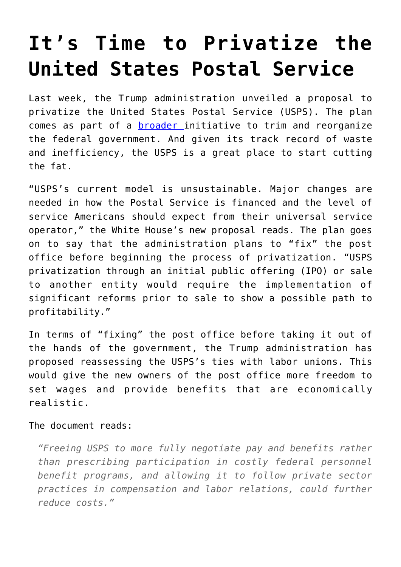## **[It's Time to Privatize the](https://intellectualtakeout.org/2018/07/its-time-to-privatize-the-united-states-postal-service/) [United States Postal Service](https://intellectualtakeout.org/2018/07/its-time-to-privatize-the-united-states-postal-service/)**

Last week, the Trump administration unveiled a proposal to privatize the United States Postal Service (USPS). The plan comes as part of a [broader](https://www.whitehouse.gov/wp-content/uploads/2018/06/Government-Reform-and-Reorg-Plan.pdf) initiative to trim and reorganize the federal government. And given its track record of waste and inefficiency, the USPS is a great place to start cutting the fat.

"USPS's current model is unsustainable. Major changes are needed in how the Postal Service is financed and the level of service Americans should expect from their universal service operator," the White House's new proposal reads. The plan goes on to say that the administration plans to "fix" the post office before beginning the process of privatization. "USPS privatization through an initial public offering (IPO) or sale to another entity would require the implementation of significant reforms prior to sale to show a possible path to profitability."

In terms of "fixing" the post office before taking it out of the hands of the government, the Trump administration has proposed reassessing the USPS's ties with labor unions. This would give the new owners of the post office more freedom to set wages and provide benefits that are economically realistic.

The document reads:

*"Freeing USPS to more fully negotiate pay and benefits rather than prescribing participation in costly federal personnel benefit programs, and allowing it to follow private sector practices in compensation and labor relations, could further reduce costs."*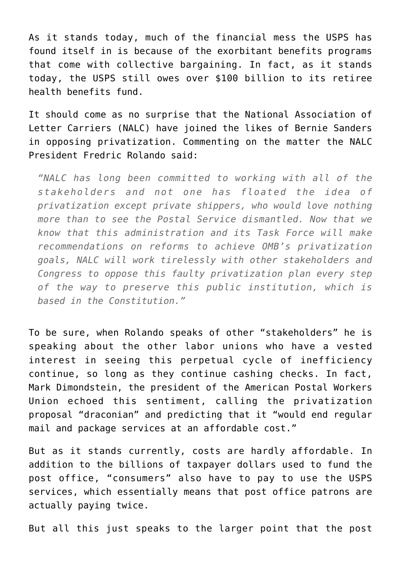As it stands today, much of the financial mess the USPS has found itself in is because of the exorbitant benefits programs that come with collective bargaining. In fact, as it stands today, the USPS still owes over \$100 billion to its retiree health benefits fund.

It should come as no surprise that the National Association of Letter Carriers (NALC) have joined the likes of Bernie Sanders in opposing privatization. Commenting on the matter the NALC President Fredric Rolando said:

*"NALC has long been committed to working with all of the stakeholders and not one has floated the idea of privatization except private shippers, who would love nothing more than to see the Postal Service dismantled. Now that we know that this administration and its Task Force will make recommendations on reforms to achieve OMB's privatization goals, NALC will work tirelessly with other stakeholders and Congress to oppose this faulty privatization plan every step of the way to preserve this public institution, which is based in the Constitution."*

To be sure, when Rolando speaks of other "stakeholders" he is speaking about the other labor unions who have a vested interest in seeing this perpetual cycle of inefficiency continue, so long as they continue cashing checks. In fact, Mark Dimondstein, the president of the American Postal Workers Union echoed this sentiment, calling the privatization proposal "draconian" and predicting that it "would end regular mail and package services at an affordable cost."

But as it stands currently, costs are hardly affordable. In addition to the billions of taxpayer dollars used to fund the post office, "consumers" also have to pay to use the USPS services, which essentially means that post office patrons are actually paying twice.

But all this just speaks to the larger point that the post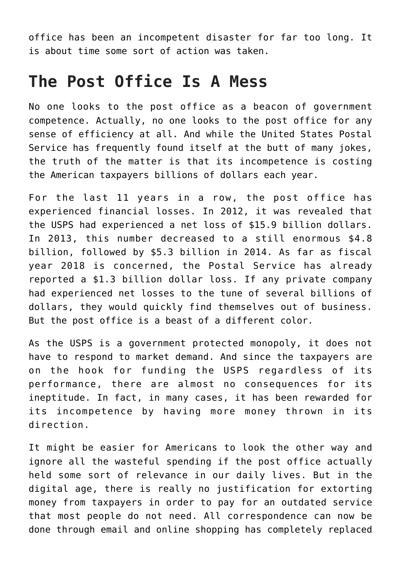office has been an incompetent disaster for far too long. It is about time some sort of action was taken.

## **The Post Office Is A Mess**

No one looks to the post office as a beacon of government competence. Actually, no one looks to the post office for any sense of efficiency at all. And while the United States Postal Service has frequently found itself at the butt of many jokes, the truth of the matter is that its incompetence is costing the American taxpayers billions of dollars each year.

For the last 11 years in a row, the post office has experienced financial losses. In 2012, it was revealed that the USPS had experienced a net loss of \$15.9 billion dollars. In 2013, this number decreased to a still enormous \$4.8 billion, followed by \$5.3 billion in 2014. As far as fiscal year 2018 is concerned, the Postal Service has already reported a \$1.3 billion dollar loss. If any private company had experienced net losses to the tune of several billions of dollars, they would quickly find themselves out of business. But the post office is a beast of a different color.

As the USPS is a government protected monopoly, it does not have to respond to market demand. And since the taxpayers are on the hook for funding the USPS regardless of its performance, there are almost no consequences for its ineptitude. In fact, in many cases, it has been rewarded for its incompetence by having more money thrown in its direction.

It might be easier for Americans to look the other way and ignore all the wasteful spending if the post office actually held some sort of relevance in our daily lives. But in the digital age, there is really no justification for extorting money from taxpayers in order to pay for an outdated service that most people do not need. All correspondence can now be done through email and online shopping has completely replaced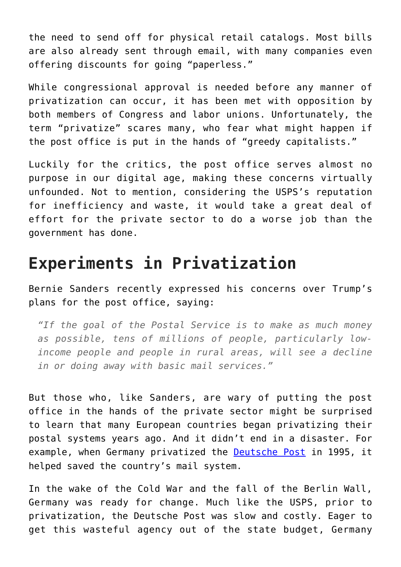the need to send off for physical retail catalogs. Most bills are also already sent through email, with many companies even offering discounts for going "paperless."

While congressional approval is needed before any manner of privatization can occur, it has been met with opposition by both members of Congress and labor unions. Unfortunately, the term "privatize" scares many, who fear what might happen if the post office is put in the hands of "greedy capitalists."

Luckily for the critics, the post office serves almost no purpose in our digital age, making these concerns virtually unfounded. Not to mention, considering the USPS's reputation for inefficiency and waste, it would take a great deal of effort for the private sector to do a worse job than the government has done.

## **Experiments in Privatization**

Bernie Sanders recently expressed his concerns over Trump's plans for the post office, saying:

*"If the goal of the Postal Service is to make as much money as possible, tens of millions of people, particularly lowincome people and people in rural areas, will see a decline in or doing away with basic mail services."*

But those who, like Sanders, are wary of putting the post office in the hands of the private sector might be surprised to learn that many European countries began privatizing their postal systems years ago. And it didn't end in a disaster. For example, when Germany privatized the [Deutsche Post](https://www.marketplace.org/2011/11/03/world/deutsche-post-privatizing-was-smart-move) in 1995, it helped saved the country's mail system.

In the wake of the Cold War and the fall of the Berlin Wall, Germany was ready for change. Much like the USPS, prior to privatization, the Deutsche Post was slow and costly. Eager to get this wasteful agency out of the state budget, Germany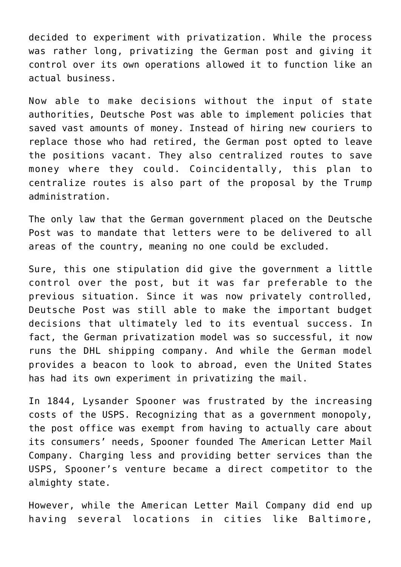decided to experiment with privatization. While the process was rather long, privatizing the German post and giving it control over its own operations allowed it to function like an actual business.

Now able to make decisions without the input of state authorities, Deutsche Post was able to implement policies that saved vast amounts of money. Instead of hiring new couriers to replace those who had retired, the German post opted to leave the positions vacant. They also centralized routes to save money where they could. Coincidentally, this plan to centralize routes is also part of the proposal by the Trump administration.

The only law that the German government placed on the Deutsche Post was to mandate that letters were to be delivered to all areas of the country, meaning no one could be excluded.

Sure, this one stipulation did give the government a little control over the post, but it was far preferable to the previous situation. Since it was now privately controlled, Deutsche Post was still able to make the important budget decisions that ultimately led to its eventual success. In fact, the German privatization model was so successful, it now runs the DHL shipping company. And while the German model provides a beacon to look to abroad, even the United States has had its own experiment in privatizing the mail.

In 1844, Lysander Spooner was frustrated by the increasing costs of the USPS. Recognizing that as a government monopoly, the post office was exempt from having to actually care about its consumers' needs, Spooner founded The American Letter Mail Company. Charging less and providing better services than the USPS, Spooner's venture became a direct competitor to the almighty state.

However, while the American Letter Mail Company did end up having several locations in cities like Baltimore,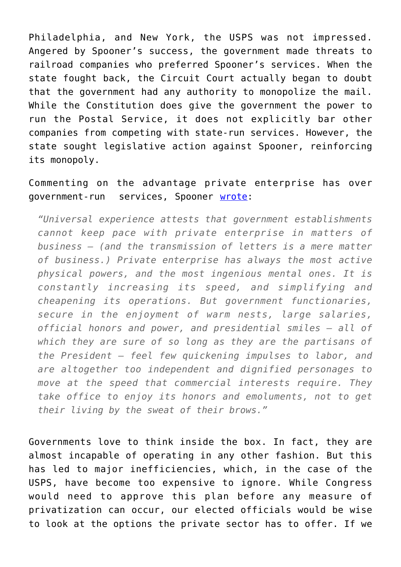Philadelphia, and New York, the USPS was not impressed. Angered by Spooner's success, the government made threats to railroad companies who preferred Spooner's services. When the state fought back, the Circuit Court actually began to doubt that the government had any authority to monopolize the mail. While the Constitution does give the government the power to run the Postal Service, it does not explicitly bar other companies from competing with state-run services. However, the state sought legislative action against Spooner, reinforcing its monopoly.

Commenting on the advantage private enterprise has over government-run services, Spooner [wrote](http://oll.libertyfund.org/quotes/541):

*"Universal experience attests that government establishments cannot keep pace with private enterprise in matters of business — (and the transmission of letters is a mere matter of business.) Private enterprise has always the most active physical powers, and the most ingenious mental ones. It is constantly increasing its speed, and simplifying and cheapening its operations. But government functionaries, secure in the enjoyment of warm nests, large salaries, official honors and power, and presidential smiles — all of which they are sure of so long as they are the partisans of the President — feel few quickening impulses to labor, and are altogether too independent and dignified personages to move at the speed that commercial interests require. They take office to enjoy its honors and emoluments, not to get their living by the sweat of their brows."*

Governments love to think inside the box. In fact, they are almost incapable of operating in any other fashion. But this has led to major inefficiencies, which, in the case of the USPS, have become too expensive to ignore. While Congress would need to approve this plan before any measure of privatization can occur, our elected officials would be wise to look at the options the private sector has to offer. If we